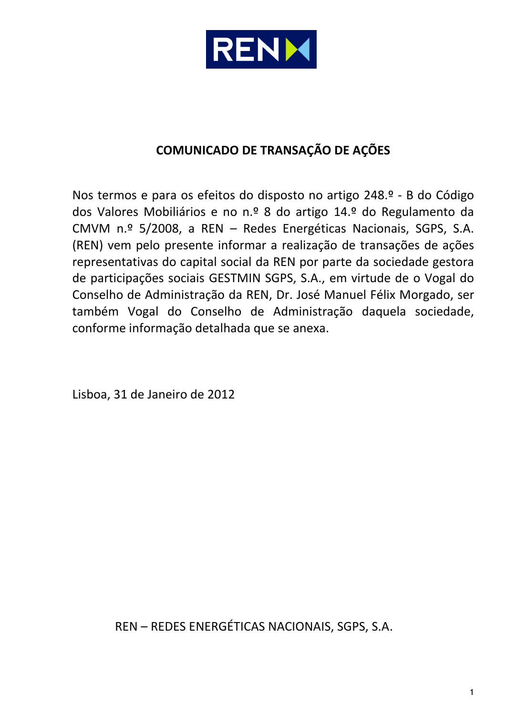

## **COMUNICADO DE TRANSAÇÃO DE AÇÕES**

Nos termos e para os efeitos do disposto no artigo 248.º - B do Código dos Valores Mobiliários e no n.º 8 do artigo 14.º do Regulamento da CMVM n.º 5/2008, a REN – Redes Energéticas Nacionais, SGPS, S.A. (REN) vem pelo presente informar a realização de transações de ações representativas do capital social da REN por parte da sociedade gestora de participações sociais GESTMIN SGPS, S.A., em virtude de o Vogal do Conselho de Administração da REN, Dr. José Manuel Félix Morgado, ser também Vogal do Conselho de Administração daquela sociedade, conforme informação detalhada que se anexa.

Lisboa, 31 de Janeiro de 2012

REN – REDES ENERGÉTICAS NACIONAIS, SGPS, S.A.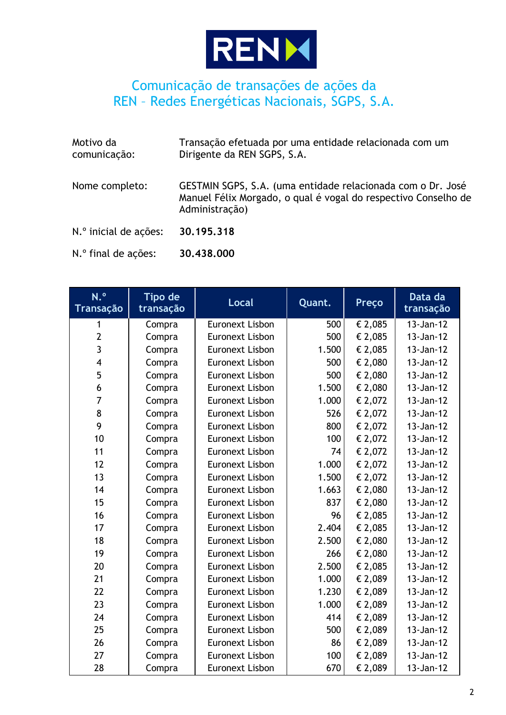

## Comunicação de transações de ações da REN – Redes Energéticas Nacionais, SGPS, S.A.

| Motivo da<br>comunicação: | Transação efetuada por uma entidade relacionada com um<br>Dirigente da REN SGPS, S.A.                                                           |
|---------------------------|-------------------------------------------------------------------------------------------------------------------------------------------------|
| Nome completo:            | GESTMIN SGPS, S.A. (uma entidade relacionada com o Dr. José<br>Manuel Félix Morgado, o qual é vogal do respectivo Conselho de<br>Administração) |
| N.º inicial de ações:     | 30,195,318                                                                                                                                      |
| N.º final de ações:       | 30,438,000                                                                                                                                      |

| N.º<br><b>Transação</b> | Tipo de<br>transação | <b>Local</b>           | Quant. | <b>Preço</b> | Data da<br>transação |
|-------------------------|----------------------|------------------------|--------|--------------|----------------------|
|                         | Compra               | <b>Euronext Lisbon</b> | 500    | € 2,085      | 13-Jan-12            |
| $\overline{2}$          | Compra               | <b>Euronext Lisbon</b> | 500    | € 2,085      | 13-Jan-12            |
| $\overline{3}$          | Compra               | <b>Euronext Lisbon</b> | 1.500  | € 2,085      | 13-Jan-12            |
| $\overline{\mathbf{4}}$ | Compra               | <b>Euronext Lisbon</b> | 500    | € 2,080      | 13-Jan-12            |
| 5                       | Compra               | <b>Euronext Lisbon</b> | 500    | € 2,080      | 13-Jan-12            |
| 6                       | Compra               | <b>Euronext Lisbon</b> | 1.500  | € 2,080      | 13-Jan-12            |
| $\overline{7}$          | Compra               | <b>Euronext Lisbon</b> | 1.000  | € 2,072      | 13-Jan-12            |
| 8                       | Compra               | <b>Euronext Lisbon</b> | 526    | € 2,072      | 13-Jan-12            |
| 9                       | Compra               | <b>Euronext Lisbon</b> | 800    | € 2,072      | 13-Jan-12            |
| 10                      | Compra               | <b>Euronext Lisbon</b> | 100    | € 2,072      | 13-Jan-12            |
| 11                      | Compra               | <b>Euronext Lisbon</b> | 74     | € 2,072      | 13-Jan-12            |
| 12                      | Compra               | <b>Euronext Lisbon</b> | 1.000  | € 2,072      | 13-Jan-12            |
| 13                      | Compra               | <b>Euronext Lisbon</b> | 1.500  | € 2,072      | 13-Jan-12            |
| 14                      | Compra               | <b>Euronext Lisbon</b> | 1.663  | € 2,080      | 13-Jan-12            |
| 15                      | Compra               | <b>Euronext Lisbon</b> | 837    | € 2,080      | 13-Jan-12            |
| 16                      | Compra               | <b>Euronext Lisbon</b> | 96     | € 2,085      | 13-Jan-12            |
| 17                      | Compra               | <b>Euronext Lisbon</b> | 2.404  | € 2,085      | 13-Jan-12            |
| 18                      | Compra               | <b>Euronext Lisbon</b> | 2.500  | € 2,080      | 13-Jan-12            |
| 19                      | Compra               | <b>Euronext Lisbon</b> | 266    | € 2,080      | 13-Jan-12            |
| 20                      | Compra               | <b>Euronext Lisbon</b> | 2.500  | € 2,085      | 13-Jan-12            |
| 21                      | Compra               | Euronext Lisbon        | 1.000  | € 2,089      | 13-Jan-12            |
| 22                      | Compra               | <b>Euronext Lisbon</b> | 1.230  | € 2,089      | 13-Jan-12            |
| 23                      | Compra               | <b>Euronext Lisbon</b> | 1.000  | € 2,089      | 13-Jan-12            |
| 24                      | Compra               | <b>Euronext Lisbon</b> | 414    | € 2,089      | 13-Jan-12            |
| 25                      | Compra               | <b>Euronext Lisbon</b> | 500    | € 2,089      | 13-Jan-12            |
| 26                      | Compra               | Euronext Lisbon        | 86     | € 2,089      | 13-Jan-12            |
| 27                      | Compra               | <b>Euronext Lisbon</b> | 100    | € 2,089      | 13-Jan-12            |
| 28                      | Compra               | <b>Euronext Lisbon</b> | 670    | € 2,089      | 13-Jan-12            |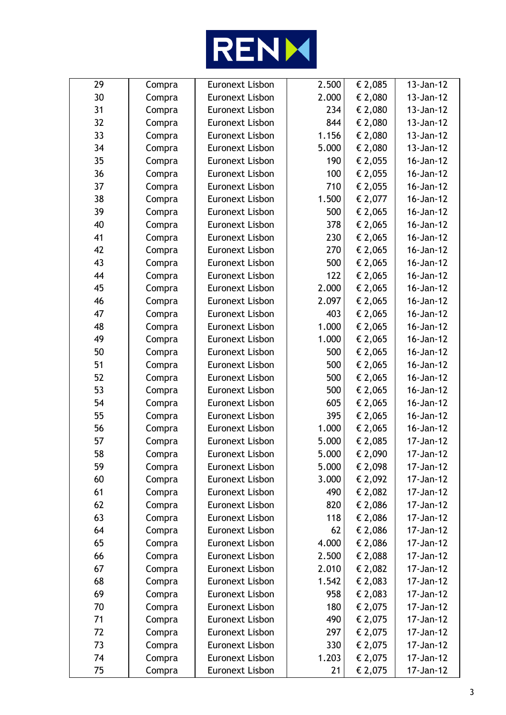

| 29 | Compra | <b>Euronext Lisbon</b> | 2.500 | € 2,085 | 13-Jan-12 |
|----|--------|------------------------|-------|---------|-----------|
| 30 | Compra | <b>Euronext Lisbon</b> | 2.000 | € 2,080 | 13-Jan-12 |
| 31 | Compra | <b>Euronext Lisbon</b> | 234   | € 2,080 | 13-Jan-12 |
| 32 | Compra | <b>Euronext Lisbon</b> | 844   | € 2,080 | 13-Jan-12 |
| 33 | Compra | <b>Euronext Lisbon</b> | 1.156 | € 2,080 | 13-Jan-12 |
| 34 | Compra | <b>Euronext Lisbon</b> | 5.000 | € 2,080 | 13-Jan-12 |
| 35 | Compra | <b>Euronext Lisbon</b> | 190   | € 2,055 | 16-Jan-12 |
| 36 | Compra | <b>Euronext Lisbon</b> | 100   | € 2,055 | 16-Jan-12 |
| 37 | Compra | <b>Euronext Lisbon</b> | 710   | € 2,055 | 16-Jan-12 |
| 38 | Compra | <b>Euronext Lisbon</b> | 1.500 | € 2,077 | 16-Jan-12 |
| 39 | Compra | <b>Euronext Lisbon</b> | 500   | € 2,065 | 16-Jan-12 |
| 40 | Compra | <b>Euronext Lisbon</b> | 378   | € 2,065 | 16-Jan-12 |
| 41 | Compra | <b>Euronext Lisbon</b> | 230   | € 2,065 | 16-Jan-12 |
| 42 | Compra | <b>Euronext Lisbon</b> | 270   | € 2,065 | 16-Jan-12 |
| 43 | Compra | <b>Euronext Lisbon</b> | 500   | € 2,065 | 16-Jan-12 |
| 44 | Compra | <b>Euronext Lisbon</b> | 122   | € 2,065 | 16-Jan-12 |
| 45 | Compra | <b>Euronext Lisbon</b> | 2.000 | € 2,065 | 16-Jan-12 |
| 46 | Compra | <b>Euronext Lisbon</b> | 2.097 | € 2,065 | 16-Jan-12 |
| 47 | Compra | <b>Euronext Lisbon</b> | 403   | € 2,065 | 16-Jan-12 |
| 48 | Compra | <b>Euronext Lisbon</b> | 1.000 | € 2,065 | 16-Jan-12 |
| 49 | Compra | <b>Euronext Lisbon</b> | 1.000 | € 2,065 | 16-Jan-12 |
| 50 | Compra | <b>Euronext Lisbon</b> | 500   | € 2,065 | 16-Jan-12 |
| 51 | Compra | <b>Euronext Lisbon</b> | 500   | € 2,065 | 16-Jan-12 |
| 52 | Compra | <b>Euronext Lisbon</b> | 500   | € 2,065 | 16-Jan-12 |
| 53 | Compra | <b>Euronext Lisbon</b> | 500   | € 2,065 | 16-Jan-12 |
| 54 | Compra | <b>Euronext Lisbon</b> | 605   | € 2,065 | 16-Jan-12 |
| 55 | Compra | <b>Euronext Lisbon</b> | 395   | € 2,065 | 16-Jan-12 |
| 56 | Compra | <b>Euronext Lisbon</b> | 1.000 | € 2,065 | 16-Jan-12 |
| 57 | Compra | <b>Euronext Lisbon</b> | 5.000 | € 2,085 | 17-Jan-12 |
| 58 | Compra | <b>Euronext Lisbon</b> | 5.000 | € 2,090 | 17-Jan-12 |
| 59 | Compra | <b>Euronext Lisbon</b> | 5.000 | € 2,098 | 17-Jan-12 |
| 60 | Compra | <b>Euronext Lisbon</b> | 3.000 | € 2,092 | 17-Jan-12 |
| 61 | Compra | <b>Euronext Lisbon</b> | 490   | € 2,082 | 17-Jan-12 |
| 62 | Compra | <b>Euronext Lisbon</b> | 820   | € 2,086 | 17-Jan-12 |
| 63 | Compra | <b>Euronext Lisbon</b> | 118   | € 2,086 | 17-Jan-12 |
| 64 | Compra | <b>Euronext Lisbon</b> | 62    | € 2,086 | 17-Jan-12 |
| 65 | Compra | <b>Euronext Lisbon</b> | 4.000 | € 2,086 | 17-Jan-12 |
| 66 | Compra | <b>Euronext Lisbon</b> | 2.500 | € 2,088 | 17-Jan-12 |
| 67 | Compra | <b>Euronext Lisbon</b> | 2.010 | € 2,082 | 17-Jan-12 |
| 68 | Compra | <b>Euronext Lisbon</b> | 1.542 | € 2,083 | 17-Jan-12 |
| 69 | Compra | <b>Euronext Lisbon</b> | 958   | € 2,083 | 17-Jan-12 |
| 70 | Compra | <b>Euronext Lisbon</b> | 180   | € 2,075 | 17-Jan-12 |
| 71 | Compra | <b>Euronext Lisbon</b> | 490   | € 2,075 | 17-Jan-12 |
| 72 | Compra | <b>Euronext Lisbon</b> | 297   | € 2,075 | 17-Jan-12 |
| 73 | Compra | <b>Euronext Lisbon</b> | 330   | € 2,075 | 17-Jan-12 |
| 74 | Compra | <b>Euronext Lisbon</b> | 1.203 | € 2,075 | 17-Jan-12 |
| 75 | Compra | Euronext Lisbon        | 21    | € 2,075 | 17-Jan-12 |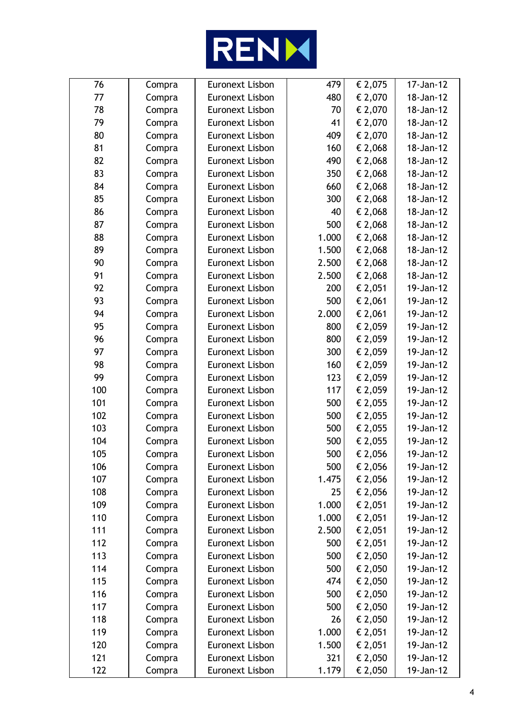

| 76  | Compra | Euronext Lisbon        | 479   | € 2,075     | 17-Jan-12 |
|-----|--------|------------------------|-------|-------------|-----------|
| 77  | Compra | Euronext Lisbon        | 480   | € 2,070     | 18-Jan-12 |
| 78  | Compra | <b>Euronext Lisbon</b> | 70    | € 2,070     | 18-Jan-12 |
| 79  | Compra | Euronext Lisbon        | 41    | € 2,070     | 18-Jan-12 |
| 80  | Compra | <b>Euronext Lisbon</b> | 409   | € 2,070     | 18-Jan-12 |
| 81  | Compra | <b>Euronext Lisbon</b> | 160   | € 2,068     | 18-Jan-12 |
| 82  | Compra | <b>Euronext Lisbon</b> | 490   | € 2,068     | 18-Jan-12 |
| 83  | Compra | Euronext Lisbon        | 350   | € 2,068     | 18-Jan-12 |
| 84  | Compra | <b>Euronext Lisbon</b> | 660   | € 2,068     | 18-Jan-12 |
| 85  | Compra | <b>Euronext Lisbon</b> | 300   | € 2,068     | 18-Jan-12 |
| 86  | Compra | <b>Euronext Lisbon</b> | 40    | € 2,068     | 18-Jan-12 |
| 87  | Compra | Euronext Lisbon        | 500   | € 2,068     | 18-Jan-12 |
| 88  | Compra | <b>Euronext Lisbon</b> | 1.000 | € 2,068     | 18-Jan-12 |
| 89  | Compra | <b>Euronext Lisbon</b> | 1.500 | € 2,068     | 18-Jan-12 |
| 90  | Compra | <b>Euronext Lisbon</b> | 2.500 | € 2,068     | 18-Jan-12 |
| 91  | Compra | Euronext Lisbon        | 2.500 | € 2,068     | 18-Jan-12 |
| 92  | Compra | <b>Euronext Lisbon</b> | 200   | € 2,051     | 19-Jan-12 |
| 93  | Compra | <b>Euronext Lisbon</b> | 500   | € 2,061     | 19-Jan-12 |
| 94  | Compra | <b>Euronext Lisbon</b> | 2.000 | € 2,061     | 19-Jan-12 |
| 95  | Compra | Euronext Lisbon        | 800   | € 2,059     | 19-Jan-12 |
| 96  | Compra | <b>Euronext Lisbon</b> | 800   | € 2,059     | 19-Jan-12 |
| 97  | Compra | <b>Euronext Lisbon</b> | 300   | € 2,059     | 19-Jan-12 |
| 98  | Compra | <b>Euronext Lisbon</b> | 160   | € 2,059     | 19-Jan-12 |
| 99  | Compra | Euronext Lisbon        | 123   | € 2,059     | 19-Jan-12 |
| 100 | Compra | <b>Euronext Lisbon</b> | 117   | € 2,059     | 19-Jan-12 |
| 101 | Compra | <b>Euronext Lisbon</b> | 500   | € 2,055     | 19-Jan-12 |
| 102 | Compra | <b>Euronext Lisbon</b> | 500   | € 2,055     | 19-Jan-12 |
| 103 | Compra | <b>Euronext Lisbon</b> | 500   | € 2,055     | 19-Jan-12 |
| 104 | Compra | <b>Euronext Lisbon</b> | 500   | € 2,055     | 19-Jan-12 |
| 105 | Compra | <b>Euronext Lisbon</b> | 500   | $\in$ 2,056 | 19-Jan-12 |
| 106 | Compra | <b>Euronext Lisbon</b> | 500   | € 2,056     | 19-Jan-12 |
| 107 | Compra | Euronext Lisbon        | 1.475 | € 2,056     | 19-Jan-12 |
| 108 | Compra | Euronext Lisbon        | 25    | € 2,056     | 19-Jan-12 |
| 109 | Compra | Euronext Lisbon        | 1.000 | € 2,051     | 19-Jan-12 |
| 110 | Compra | <b>Euronext Lisbon</b> | 1.000 | € 2,051     | 19-Jan-12 |
| 111 | Compra | Euronext Lisbon        | 2.500 | € 2,051     | 19-Jan-12 |
| 112 | Compra | Euronext Lisbon        | 500   | € 2,051     | 19-Jan-12 |
| 113 | Compra | Euronext Lisbon        | 500   | € 2,050     | 19-Jan-12 |
| 114 | Compra | <b>Euronext Lisbon</b> | 500   | € 2,050     | 19-Jan-12 |
| 115 | Compra | Euronext Lisbon        | 474   | € 2,050     | 19-Jan-12 |
| 116 | Compra | <b>Euronext Lisbon</b> | 500   | € 2,050     | 19-Jan-12 |
| 117 | Compra | Euronext Lisbon        | 500   | € 2,050     | 19-Jan-12 |
| 118 | Compra | Euronext Lisbon        | 26    | € 2,050     | 19-Jan-12 |
| 119 | Compra | <b>Euronext Lisbon</b> | 1.000 | € 2,051     | 19-Jan-12 |
| 120 | Compra | <b>Euronext Lisbon</b> | 1.500 | € 2,051     | 19-Jan-12 |
| 121 | Compra | Euronext Lisbon        | 321   | € 2,050     | 19-Jan-12 |
| 122 | Compra | Euronext Lisbon        | 1.179 | € 2,050     | 19-Jan-12 |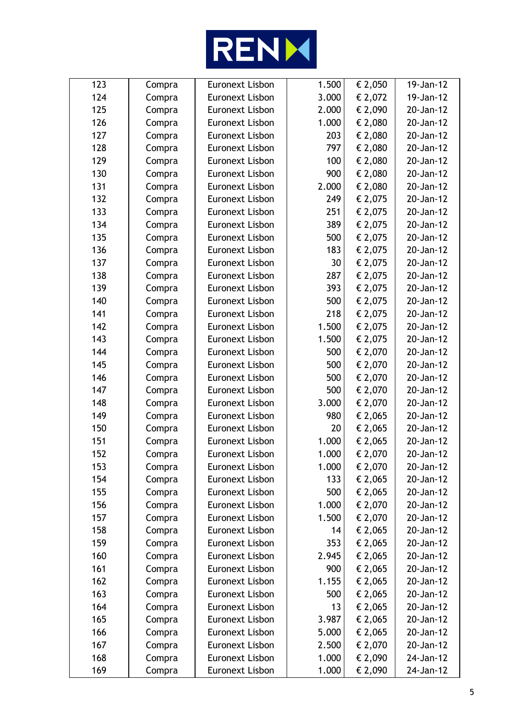

| 123 | Compra | <b>Euronext Lisbon</b> | 1.500 | € 2,050 | 19-Jan-12 |
|-----|--------|------------------------|-------|---------|-----------|
| 124 | Compra | Euronext Lisbon        | 3.000 | € 2,072 | 19-Jan-12 |
| 125 | Compra | <b>Euronext Lisbon</b> | 2.000 | € 2,090 | 20-Jan-12 |
| 126 | Compra | <b>Euronext Lisbon</b> | 1.000 | € 2,080 | 20-Jan-12 |
| 127 | Compra | <b>Euronext Lisbon</b> | 203   | € 2,080 | 20-Jan-12 |
| 128 | Compra | <b>Euronext Lisbon</b> | 797   | € 2,080 | 20-Jan-12 |
| 129 | Compra | <b>Euronext Lisbon</b> | 100   | € 2,080 | 20-Jan-12 |
| 130 | Compra | <b>Euronext Lisbon</b> | 900   | € 2,080 | 20-Jan-12 |
| 131 | Compra | <b>Euronext Lisbon</b> | 2.000 | € 2,080 | 20-Jan-12 |
| 132 | Compra | <b>Euronext Lisbon</b> | 249   | € 2,075 | 20-Jan-12 |
| 133 | Compra | <b>Euronext Lisbon</b> | 251   | € 2,075 | 20-Jan-12 |
| 134 | Compra | <b>Euronext Lisbon</b> | 389   | € 2,075 | 20-Jan-12 |
| 135 | Compra | <b>Euronext Lisbon</b> | 500   | € 2,075 | 20-Jan-12 |
| 136 | Compra | <b>Euronext Lisbon</b> | 183   | € 2,075 | 20-Jan-12 |
| 137 | Compra | <b>Euronext Lisbon</b> | 30    | € 2,075 | 20-Jan-12 |
| 138 | Compra | <b>Euronext Lisbon</b> | 287   | € 2,075 | 20-Jan-12 |
| 139 | Compra | <b>Euronext Lisbon</b> | 393   | € 2,075 | 20-Jan-12 |
| 140 | Compra | <b>Euronext Lisbon</b> | 500   | € 2,075 | 20-Jan-12 |
| 141 | Compra | <b>Euronext Lisbon</b> | 218   | € 2,075 | 20-Jan-12 |
| 142 | Compra | <b>Euronext Lisbon</b> | 1.500 | € 2,075 | 20-Jan-12 |
| 143 | Compra | <b>Euronext Lisbon</b> | 1.500 | € 2,075 | 20-Jan-12 |
| 144 | Compra | <b>Euronext Lisbon</b> | 500   | € 2,070 | 20-Jan-12 |
| 145 | Compra | <b>Euronext Lisbon</b> | 500   | € 2,070 | 20-Jan-12 |
| 146 | Compra | <b>Euronext Lisbon</b> | 500   | € 2,070 | 20-Jan-12 |
| 147 | Compra | <b>Euronext Lisbon</b> | 500   | € 2,070 | 20-Jan-12 |
| 148 | Compra | <b>Euronext Lisbon</b> | 3.000 | € 2,070 | 20-Jan-12 |
| 149 | Compra | <b>Euronext Lisbon</b> | 980   | € 2,065 | 20-Jan-12 |
| 150 | Compra | <b>Euronext Lisbon</b> | 20    | € 2,065 | 20-Jan-12 |
| 151 | Compra | <b>Euronext Lisbon</b> | 1.000 | € 2,065 | 20-Jan-12 |
| 152 | Compra | <b>Euronext Lisbon</b> | 1.000 | € 2,070 | 20-Jan-12 |
| 153 | Compra | <b>Euronext Lisbon</b> | 1.000 | € 2,070 | 20-Jan-12 |
| 154 | Compra | <b>Euronext Lisbon</b> | 133   | € 2,065 | 20-Jan-12 |
| 155 | Compra | <b>Euronext Lisbon</b> | 500   | € 2,065 | 20-Jan-12 |
| 156 | Compra | <b>Euronext Lisbon</b> | 1.000 | € 2,070 | 20-Jan-12 |
| 157 | Compra | <b>Euronext Lisbon</b> | 1.500 | € 2,070 | 20-Jan-12 |
| 158 | Compra | <b>Euronext Lisbon</b> | 14    | € 2,065 | 20-Jan-12 |
| 159 | Compra | <b>Euronext Lisbon</b> | 353   | € 2,065 | 20-Jan-12 |
| 160 | Compra | <b>Euronext Lisbon</b> | 2.945 | € 2,065 | 20-Jan-12 |
| 161 | Compra | <b>Euronext Lisbon</b> | 900   | € 2,065 | 20-Jan-12 |
| 162 | Compra | <b>Euronext Lisbon</b> | 1.155 | € 2,065 | 20-Jan-12 |
| 163 | Compra | <b>Euronext Lisbon</b> | 500   | € 2,065 | 20-Jan-12 |
| 164 | Compra | <b>Euronext Lisbon</b> | 13    | € 2,065 | 20-Jan-12 |
| 165 | Compra | <b>Euronext Lisbon</b> | 3.987 | € 2,065 | 20-Jan-12 |
| 166 | Compra | <b>Euronext Lisbon</b> | 5.000 | € 2,065 | 20-Jan-12 |
| 167 | Compra | <b>Euronext Lisbon</b> | 2.500 | € 2,070 | 20-Jan-12 |
| 168 | Compra | <b>Euronext Lisbon</b> | 1.000 | € 2,090 | 24-Jan-12 |
| 169 | Compra | <b>Euronext Lisbon</b> | 1.000 | € 2,090 | 24-Jan-12 |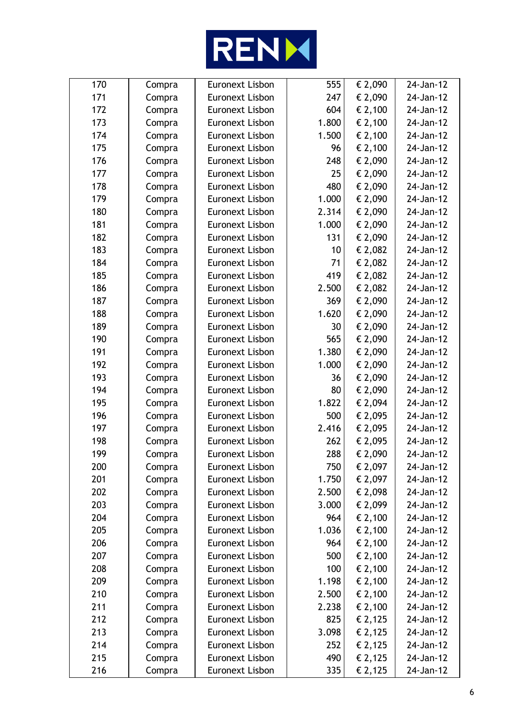

| 170 | Compra | <b>Euronext Lisbon</b> | 555   | € 2,090          | 24-Jan-12 |
|-----|--------|------------------------|-------|------------------|-----------|
| 171 | Compra | <b>Euronext Lisbon</b> | 247   | € 2,090          | 24-Jan-12 |
| 172 | Compra | <b>Euronext Lisbon</b> | 604   | € 2,100          | 24-Jan-12 |
| 173 | Compra | <b>Euronext Lisbon</b> | 1.800 | € 2,100          | 24-Jan-12 |
| 174 | Compra | <b>Euronext Lisbon</b> | 1.500 | $\epsilon$ 2,100 | 24-Jan-12 |
| 175 | Compra | <b>Euronext Lisbon</b> | 96    | € 2,100          | 24-Jan-12 |
| 176 | Compra | <b>Euronext Lisbon</b> | 248   | € 2,090          | 24-Jan-12 |
| 177 | Compra | <b>Euronext Lisbon</b> | 25    | € 2,090          | 24-Jan-12 |
| 178 | Compra | <b>Euronext Lisbon</b> | 480   | € 2,090          | 24-Jan-12 |
| 179 | Compra | <b>Euronext Lisbon</b> | 1.000 | € 2,090          | 24-Jan-12 |
| 180 | Compra | <b>Euronext Lisbon</b> | 2.314 | € 2,090          | 24-Jan-12 |
| 181 | Compra | <b>Euronext Lisbon</b> | 1.000 | € 2,090          | 24-Jan-12 |
| 182 | Compra | <b>Euronext Lisbon</b> | 131   | € 2,090          | 24-Jan-12 |
| 183 | Compra | <b>Euronext Lisbon</b> | 10    | € 2,082          | 24-Jan-12 |
| 184 | Compra | <b>Euronext Lisbon</b> | 71    | € 2,082          | 24-Jan-12 |
| 185 | Compra | <b>Euronext Lisbon</b> | 419   | € 2,082          | 24-Jan-12 |
| 186 | Compra | <b>Euronext Lisbon</b> | 2.500 | € 2,082          | 24-Jan-12 |
| 187 | Compra | <b>Euronext Lisbon</b> | 369   | € 2,090          | 24-Jan-12 |
| 188 | Compra | <b>Euronext Lisbon</b> | 1.620 | € 2,090          | 24-Jan-12 |
| 189 | Compra | <b>Euronext Lisbon</b> | 30    | € 2,090          | 24-Jan-12 |
| 190 | Compra | <b>Euronext Lisbon</b> | 565   | € 2,090          | 24-Jan-12 |
| 191 | Compra | <b>Euronext Lisbon</b> | 1.380 | € 2,090          | 24-Jan-12 |
| 192 | Compra | <b>Euronext Lisbon</b> | 1.000 | € 2,090          | 24-Jan-12 |
| 193 | Compra | <b>Euronext Lisbon</b> | 36    | € 2,090          | 24-Jan-12 |
| 194 | Compra | <b>Euronext Lisbon</b> | 80    | € 2,090          | 24-Jan-12 |
| 195 | Compra | <b>Euronext Lisbon</b> | 1.822 | € 2,094          | 24-Jan-12 |
| 196 | Compra | <b>Euronext Lisbon</b> | 500   | € 2,095          | 24-Jan-12 |
| 197 | Compra | <b>Euronext Lisbon</b> | 2.416 | € 2,095          | 24-Jan-12 |
| 198 | Compra | <b>Euronext Lisbon</b> | 262   | € 2,095          | 24-Jan-12 |
| 199 | Compra | <b>Euronext Lisbon</b> | 288   | € 2,090          | 24-Jan-12 |
| 200 | Compra | <b>Euronext Lisbon</b> | 750   | € 2,097          | 24-Jan-12 |
| 201 | Compra | <b>Euronext Lisbon</b> | 1.750 | € 2,097          | 24-Jan-12 |
| 202 | Compra | <b>Euronext Lisbon</b> | 2.500 | € 2,098          | 24-Jan-12 |
| 203 | Compra | <b>Euronext Lisbon</b> | 3.000 | € 2,099          | 24-Jan-12 |
| 204 | Compra | <b>Euronext Lisbon</b> | 964   | € 2,100          | 24-Jan-12 |
| 205 | Compra | <b>Euronext Lisbon</b> | 1.036 | € 2,100          | 24-Jan-12 |
| 206 | Compra | <b>Euronext Lisbon</b> | 964   | € 2,100          | 24-Jan-12 |
| 207 | Compra | <b>Euronext Lisbon</b> | 500   | € 2,100          | 24-Jan-12 |
| 208 | Compra | Euronext Lisbon        | 100   | € 2,100          | 24-Jan-12 |
| 209 | Compra | <b>Euronext Lisbon</b> | 1.198 | € 2,100          | 24-Jan-12 |
| 210 | Compra | <b>Euronext Lisbon</b> | 2.500 | € 2,100          | 24-Jan-12 |
| 211 | Compra | <b>Euronext Lisbon</b> | 2.238 | € 2,100          | 24-Jan-12 |
| 212 | Compra | <b>Euronext Lisbon</b> | 825   | € 2,125          | 24-Jan-12 |
| 213 | Compra | <b>Euronext Lisbon</b> | 3.098 | € 2,125          | 24-Jan-12 |
| 214 | Compra | <b>Euronext Lisbon</b> | 252   | € 2,125          | 24-Jan-12 |
| 215 | Compra | <b>Euronext Lisbon</b> | 490   | € 2,125          | 24-Jan-12 |
| 216 | Compra | <b>Euronext Lisbon</b> | 335   | € 2,125          | 24-Jan-12 |